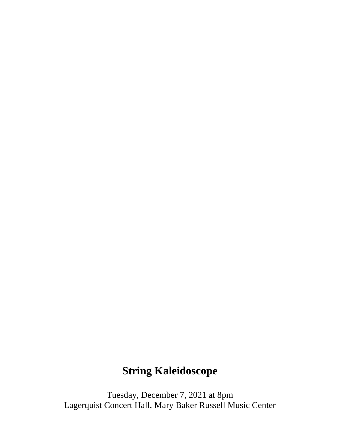## **String Kaleidoscope**

Tuesday, December 7, 2021 at 8pm Lagerquist Concert Hall, Mary Baker Russell Music Center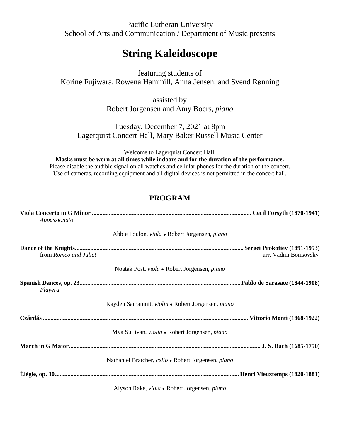Pacific Lutheran University School of Arts and Communication / Department of Music presents

## **String Kaleidoscope**

featuring students of Korine Fujiwara, Rowena Hammill, Anna Jensen, and Svend Rønning

> assisted by Robert Jorgensen and Amy Boers, *piano*

Tuesday, December 7, 2021 at 8pm Lagerquist Concert Hall, Mary Baker Russell Music Center

Welcome to Lagerquist Concert Hall.

**Masks must be worn at all times while indoors and for the duration of the performance.** Please disable the audible signal on all watches and cellular phones for the duration of the concert. Use of cameras, recording equipment and all digital devices is not permitted in the concert hall.

## **PROGRAM**

| Appassionato          |                                                              |                       |
|-----------------------|--------------------------------------------------------------|-----------------------|
|                       | Abbie Foulon, viola • Robert Jorgensen, piano                |                       |
| from Romeo and Juliet |                                                              | arr. Vadim Borisovsky |
|                       | Noatak Post, viola • Robert Jorgensen, piano                 |                       |
| Playera               |                                                              |                       |
|                       | Kayden Samanmit, violin • Robert Jorgensen, piano            |                       |
|                       |                                                              |                       |
|                       | Mya Sullivan, <i>violin</i> • Robert Jorgensen, <i>piano</i> |                       |
|                       |                                                              |                       |
|                       | Nathaniel Bratcher, cello • Robert Jorgensen, piano          |                       |
|                       |                                                              |                       |
|                       | Alyson Rake, viola • Robert Jorgensen, piano                 |                       |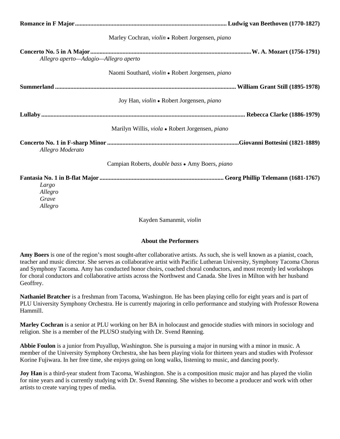|                                      | Marley Cochran, violin • Robert Jorgensen, piano              |  |
|--------------------------------------|---------------------------------------------------------------|--|
| Allegro aperto—Adagio—Allegro aperto |                                                               |  |
|                                      | Naomi Southard, violin • Robert Jorgensen, piano              |  |
|                                      |                                                               |  |
|                                      | Joy Han, violin • Robert Jorgensen, piano                     |  |
|                                      |                                                               |  |
|                                      | Marilyn Willis, viola • Robert Jorgensen, piano               |  |
| Allegro Moderato                     |                                                               |  |
|                                      | Campian Roberts, <i>double bass</i> • Amy Boers, <i>piano</i> |  |
| Largo<br>Allegro<br>Grave<br>Allegro |                                                               |  |

Kayden Samanmit, *violin*

## **About the Performers**

**Amy Boers** is one of the region's most sought-after collaborative artists. As such, she is well known as a pianist, coach, teacher and music director. She serves as collaborative artist with Pacific Lutheran University, Symphony Tacoma Chorus and Symphony Tacoma. Amy has conducted honor choirs, coached choral conductors, and most recently led workshops for choral conductors and collaborative artists across the Northwest and Canada. She lives in Milton with her husband Geoffrey.

**Nathaniel Bratcher** is a freshman from Tacoma, Washington. He has been playing cello for eight years and is part of PLU University Symphony Orchestra. He is currently majoring in cello performance and studying with Professor Rowena Hammill.

**Marley Cochran** is a senior at PLU working on her BA in holocaust and genocide studies with minors in sociology and religion. She is a member of the PLUSO studying with Dr. Svend Rønning.

**Abbie Foulon** is a junior from Puyallup, Washington. She is pursuing a major in nursing with a minor in music. A member of the University Symphony Orchestra, she has been playing viola for thirteen years and studies with Professor Korine Fujiwara. In her free time, she enjoys going on long walks, listening to music, and dancing poorly.

**Joy Han** is a third-year student from Tacoma, Washington. She is a composition music major and has played the violin for nine years and is currently studying with Dr. Svend Rønning. She wishes to become a producer and work with other artists to create varying types of media.